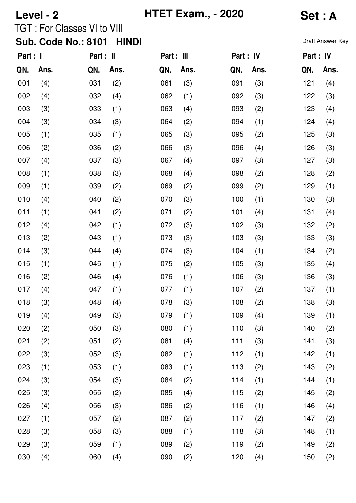| Level - 2 |      |                                    |              |            | <b>HTET Exam., - 2020</b> | Set : A   |      |           |                  |
|-----------|------|------------------------------------|--------------|------------|---------------------------|-----------|------|-----------|------------------|
|           |      | <b>TGT: For Classes VI to VIII</b> |              |            |                           |           |      |           |                  |
|           |      | <b>Sub. Code No.: 8101</b>         | <b>HINDI</b> |            |                           |           |      |           | Draft Answer Key |
| Part : I  |      | Part : II                          |              | Part : III |                           | Part : IV |      | Part : IV |                  |
| QN.       | Ans. | QN.                                | Ans.         | QN.        | Ans.                      | QN.       | Ans. | QN.       | Ans.             |
| 001       | (4)  | 031                                | (2)          | 061        | (3)                       | 091       | (3)  | 121       | (4)              |
| 002       | (4)  | 032                                | (4)          | 062        | (1)                       | 092       | (3)  | 122       | (3)              |
| 003       | (3)  | 033                                | (1)          | 063        | (4)                       | 093       | (2)  | 123       | (4)              |
| 004       | (3)  | 034                                | (3)          | 064        | (2)                       | 094       | (1)  | 124       | (4)              |
| 005       | (1)  | 035                                | (1)          | 065        | (3)                       | 095       | (2)  | 125       | (3)              |
| 006       | (2)  | 036                                | (2)          | 066        | (3)                       | 096       | (4)  | 126       | (3)              |
| 007       | (4)  | 037                                | (3)          | 067        | (4)                       | 097       | (3)  | 127       | (3)              |
| 008       | (1)  | 038                                | (3)          | 068        | (4)                       | 098       | (2)  | 128       | (2)              |
| 009       | (1)  | 039                                | (2)          | 069        | (2)                       | 099       | (2)  | 129       | (1)              |
| 010       | (4)  | 040                                | (2)          | 070        | (3)                       | 100       | (1)  | 130       | (3)              |
| 011       | (1)  | 041                                | (2)          | 071        | (2)                       | 101       | (4)  | 131       | (4)              |
| 012       | (4)  | 042                                | (1)          | 072        | (3)                       | 102       | (3)  | 132       | (2)              |
| 013       | (2)  | 043                                | (1)          | 073        | (3)                       | 103       | (3)  | 133       | (3)              |
| 014       | (3)  | 044                                | (4)          | 074        | (3)                       | 104       | (1)  | 134       | (2)              |
| 015       | (1)  | 045                                | (1)          | 075        | (2)                       | 105       | (3)  | 135       | (4)              |
| 016       | (2)  | 046                                | (4)          | 076        | (1)                       | 106       | (3)  | 136       | (3)              |
| 017       | (4)  | 047                                | (1)          | 077        | (1)                       | 107       | (2)  | 137       | (1)              |
| 018       | (3)  | 048                                | (4)          | 078        | (3)                       | 108       | (2)  | 138       | (3)              |
| 019       | (4)  | 049                                | (3)          | 079        | (1)                       | 109       | (4)  | 139       | (1)              |
| 020       | (2)  | 050                                | (3)          | 080        | (1)                       | 110       | (3)  | 140       | (2)              |
| 021       | (2)  | 051                                | (2)          | 081        | (4)                       | 111       | (3)  | 141       | (3)              |
| 022       | (3)  | 052                                | (3)          | 082        | (1)                       | 112       | (1)  | 142       | (1)              |
| 023       | (1)  | 053                                | (1)          | 083        | (1)                       | 113       | (2)  | 143       | (2)              |
| 024       | (3)  | 054                                | (3)          | 084        | (2)                       | 114       | (1)  | 144       | (1)              |
| 025       | (3)  | 055                                | (2)          | 085        | (4)                       | 115       | (2)  | 145       | (2)              |
| 026       | (4)  | 056                                | (3)          | 086        | (2)                       | 116       | (1)  | 146       | (4)              |
| 027       | (1)  | 057                                | (2)          | 087        | (2)                       | 117       | (2)  | 147       | (2)              |
| 028       | (3)  | 058                                | (3)          | 088        | (1)                       | 118       | (3)  | 148       | (1)              |
| 029       | (3)  | 059                                | (1)          | 089        | (2)                       | 119       | (2)  | 149       | (2)              |
| 030       | (4)  | 060                                | (4)          | 090        | (2)                       | 120       | (4)  | 150       | (2)              |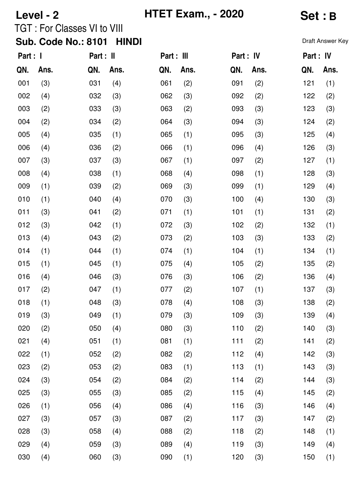| Level - 2 |      |                                    |              |            | <b>HTET Exam., - 2020</b> | <b>Set:B</b> |      |           |                  |
|-----------|------|------------------------------------|--------------|------------|---------------------------|--------------|------|-----------|------------------|
|           |      | <b>TGT: For Classes VI to VIII</b> |              |            |                           |              |      |           |                  |
|           |      | <b>Sub. Code No.: 8101</b>         | <b>HINDI</b> |            |                           |              |      |           | Draft Answer Key |
| Part : I  |      | Part : II                          |              | Part : III |                           | Part : IV    |      | Part : IV |                  |
| QN.       | Ans. | QN.                                | Ans.         | QN.        | Ans.                      | QN.          | Ans. | QN.       | Ans.             |
| 001       | (3)  | 031                                | (4)          | 061        | (2)                       | 091          | (2)  | 121       | (1)              |
| 002       | (4)  | 032                                | (3)          | 062        | (3)                       | 092          | (2)  | 122       | (2)              |
| 003       | (2)  | 033                                | (3)          | 063        | (2)                       | 093          | (3)  | 123       | (3)              |
| 004       | (2)  | 034                                | (2)          | 064        | (3)                       | 094          | (3)  | 124       | (2)              |
| 005       | (4)  | 035                                | (1)          | 065        | (1)                       | 095          | (3)  | 125       | (4)              |
| 006       | (4)  | 036                                | (2)          | 066        | (1)                       | 096          | (4)  | 126       | (3)              |
| 007       | (3)  | 037                                | (3)          | 067        | (1)                       | 097          | (2)  | 127       | (1)              |
| 008       | (4)  | 038                                | (1)          | 068        | (4)                       | 098          | (1)  | 128       | (3)              |
| 009       | (1)  | 039                                | (2)          | 069        | (3)                       | 099          | (1)  | 129       | (4)              |
| 010       | (1)  | 040                                | (4)          | 070        | (3)                       | 100          | (4)  | 130       | (3)              |
| 011       | (3)  | 041                                | (2)          | 071        | (1)                       | 101          | (1)  | 131       | (2)              |
| 012       | (3)  | 042                                | (1)          | 072        | (3)                       | 102          | (2)  | 132       | (1)              |
| 013       | (4)  | 043                                | (2)          | 073        | (2)                       | 103          | (3)  | 133       | (2)              |
| 014       | (1)  | 044                                | (1)          | 074        | (1)                       | 104          | (1)  | 134       | (1)              |
| 015       | (1)  | 045                                | (1)          | 075        | (4)                       | 105          | (2)  | 135       | (2)              |
| 016       | (4)  | 046                                | (3)          | 076        | (3)                       | 106          | (2)  | 136       | (4)              |
| 017       | (2)  | 047                                | (1)          | 077        | (2)                       | 107          | (1)  | 137       | (3)              |
| 018       | (1)  | 048                                | (3)          | 078        | (4)                       | 108          | (3)  | 138       | (2)              |
| 019       | (3)  | 049                                | (1)          | 079        | (3)                       | 109          | (3)  | 139       | (4)              |
| 020       | (2)  | 050                                | (4)          | 080        | (3)                       | 110          | (2)  | 140       | (3)              |
| 021       | (4)  | 051                                | (1)          | 081        | (1)                       | 111          | (2)  | 141       | (2)              |
| 022       | (1)  | 052                                | (2)          | 082        | (2)                       | 112          | (4)  | 142       | (3)              |
| 023       | (2)  | 053                                | (2)          | 083        | (1)                       | 113          | (1)  | 143       | (3)              |
| 024       | (3)  | 054                                | (2)          | 084        | (2)                       | 114          | (2)  | 144       | (3)              |
| 025       | (3)  | 055                                | (3)          | 085        | (2)                       | 115          | (4)  | 145       | (2)              |
| 026       | (1)  | 056                                | (4)          | 086        | (4)                       | 116          | (3)  | 146       | (4)              |
| 027       | (3)  | 057                                | (3)          | 087        | (2)                       | 117          | (3)  | 147       | (2)              |
| 028       | (3)  | 058                                | (4)          | 088        | (2)                       | 118          | (2)  | 148       | (1)              |
| 029       | (4)  | 059                                | (3)          | 089        | (4)                       | 119          | (3)  | 149       | (4)              |
| 030       | (4)  | 060                                | (3)          | 090        | (1)                       | 120          | (3)  | 150       | (1)              |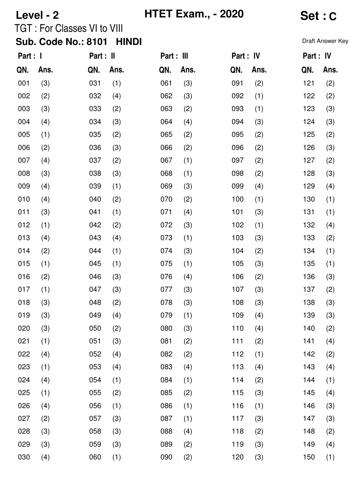| Level - 2 |      |                                    |              |            | <b>HTET Exam., - 2020</b> |           |      |           | Set : C          |  |  |
|-----------|------|------------------------------------|--------------|------------|---------------------------|-----------|------|-----------|------------------|--|--|
|           |      | <b>TGT: For Classes VI to VIII</b> |              |            |                           |           |      |           |                  |  |  |
|           |      | <b>Sub. Code No.: 8101</b>         | <b>HINDI</b> |            |                           |           |      |           | Draft Answer Key |  |  |
| Part : I  |      | Part : II                          |              | Part : III |                           | Part : IV |      | Part : IV |                  |  |  |
| QN.       | Ans. | QN.                                | Ans.         | QN.        | Ans.                      | QN.       | Ans. | QN.       | Ans.             |  |  |
| 001       | (3)  | 031                                | (1)          | 061        | (3)                       | 091       | (2)  | 121       | (2)              |  |  |
| 002       | (2)  | 032                                | (4)          | 062        | (3)                       | 092       | (1)  | 122       | (2)              |  |  |
| 003       | (3)  | 033                                | (2)          | 063        | (2)                       | 093       | (1)  | 123       | (3)              |  |  |
| 004       | (4)  | 034                                | (3)          | 064        | (4)                       | 094       | (3)  | 124       | (3)              |  |  |
| 005       | (1)  | 035                                | (2)          | 065        | (2)                       | 095       | (2)  | 125       | (2)              |  |  |
| 006       | (2)  | 036                                | (3)          | 066        | (2)                       | 096       | (2)  | 126       | (3)              |  |  |
| 007       | (4)  | 037                                | (2)          | 067        | (1)                       | 097       | (2)  | 127       | (2)              |  |  |
| 008       | (3)  | 038                                | (3)          | 068        | (1)                       | 098       | (2)  | 128       | (3)              |  |  |
| 009       | (4)  | 039                                | (1)          | 069        | (3)                       | 099       | (4)  | 129       | (4)              |  |  |
| 010       | (4)  | 040                                | (2)          | 070        | (2)                       | 100       | (1)  | 130       | (1)              |  |  |
| 011       | (3)  | 041                                | (1)          | 071        | (4)                       | 101       | (3)  | 131       | (1)              |  |  |
| 012       | (1)  | 042                                | (2)          | 072        | (3)                       | 102       | (1)  | 132       | (4)              |  |  |
| 013       | (4)  | 043                                | (4)          | 073        | (1)                       | 103       | (3)  | 133       | (2)              |  |  |
| 014       | (2)  | 044                                | (1)          | 074        | (3)                       | 104       | (2)  | 134       | (1)              |  |  |
| 015       | (1)  | 045                                | (1)          | 075        | (1)                       | 105       | (3)  | 135       | (1)              |  |  |
| 016       | (2)  | 046                                | (3)          | 076        | (4)                       | 106       | (2)  | 136       | (3)              |  |  |
| 017       | (1)  | 047                                | (3)          | 077        | (3)                       | 107       | (3)  | 137       | (2)              |  |  |
| 018       | (3)  | 048                                | (2)          | 078        | (3)                       | 108       | (3)  | 138       | (3)              |  |  |
| 019       | (3)  | 049                                | (4)          | 079        | (1)                       | 109       | (4)  | 139       | (3)              |  |  |
| 020       | (3)  | 050                                | (2)          | 080        | (3)                       | 110       | (4)  | 140       | (2)              |  |  |
| 021       | (1)  | 051                                | (3)          | 081        | (2)                       | 111       | (2)  | 141       | (4)              |  |  |
| 022       | (4)  | 052                                | (4)          | 082        | (2)                       | 112       | (1)  | 142       | (2)              |  |  |
| 023       | (1)  | 053                                | (4)          | 083        | (4)                       | 113       | (4)  | 143       | (4)              |  |  |
| 024       | (4)  | 054                                | (1)          | 084        | (1)                       | 114       | (2)  | 144       | (1)              |  |  |
| 025       | (1)  | 055                                | (2)          | 085        | (2)                       | 115       | (3)  | 145       | (4)              |  |  |
| 026       | (4)  | 056                                | (1)          | 086        | (1)                       | 116       | (1)  | 146       | (3)              |  |  |
| 027       | (2)  | 057                                | (3)          | 087        | (1)                       | 117       | (3)  | 147       | (3)              |  |  |
| 028       | (3)  | 058                                | (3)          | 088        | (4)                       | 118       | (2)  | 148       | (2)              |  |  |
| 029       | (3)  | 059                                | (3)          | 089        | (2)                       | 119       | (3)  | 149       | (4)              |  |  |
| 030       | (4)  | 060                                | (1)          | 090        | (2)                       | 120       | (3)  | 150       | (1)              |  |  |